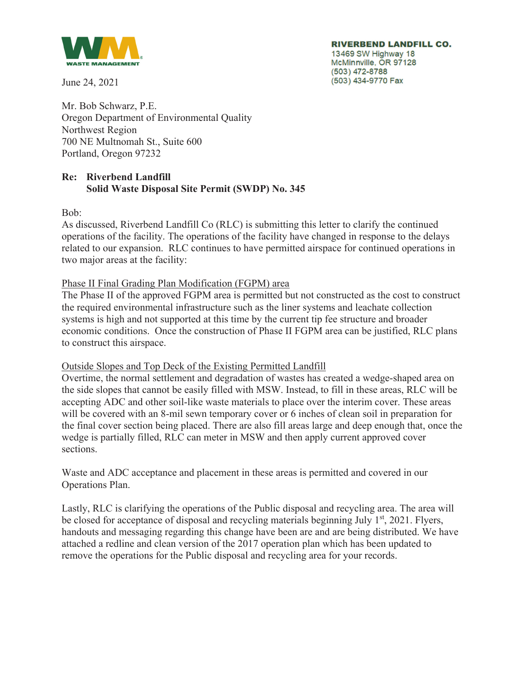

June 24, 2021

**RIVERBEND LANDFILL CO.** 

13469 SW Highway 18 McMinnville, OR 97128 (503) 472-8788 (503) 434-9770 Fax

Mr. Bob Schwarz, P.E. Oregon Department of Environmental Quality Northwest Region 700 NE Multnomah St., Suite 600 Portland, Oregon 97232

## **Re: Riverbend Landfill Solid Waste Disposal Site Permit (SWDP) No. 345**

Bob:

As discussed, Riverbend Landfill Co (RLC) is submitting this letter to clarify the continued operations of the facility. The operations of the facility have changed in response to the delays related to our expansion. RLC continues to have permitted airspace for continued operations in two major areas at the facility:

## Phase II Final Grading Plan Modification (FGPM) area

The Phase II of the approved FGPM area is permitted but not constructed as the cost to construct the required environmental infrastructure such as the liner systems and leachate collection systems is high and not supported at this time by the current tip fee structure and broader economic conditions. Once the construction of Phase II FGPM area can be justified, RLC plans to construct this airspace.

## Outside Slopes and Top Deck of the Existing Permitted Landfill

Overtime, the normal settlement and degradation of wastes has created a wedge-shaped area on the side slopes that cannot be easily filled with MSW. Instead, to fill in these areas, RLC will be accepting ADC and other soil-like waste materials to place over the interim cover. These areas will be covered with an 8-mil sewn temporary cover or 6 inches of clean soil in preparation for the final cover section being placed. There are also fill areas large and deep enough that, once the wedge is partially filled, RLC can meter in MSW and then apply current approved cover sections.

Waste and ADC acceptance and placement in these areas is permitted and covered in our Operations Plan.

Lastly, RLC is clarifying the operations of the Public disposal and recycling area. The area will be closed for acceptance of disposal and recycling materials beginning July 1<sup>st</sup>, 2021. Flyers, handouts and messaging regarding this change have been are and are being distributed. We have attached a redline and clean version of the 2017 operation plan which has been updated to remove the operations for the Public disposal and recycling area for your records.